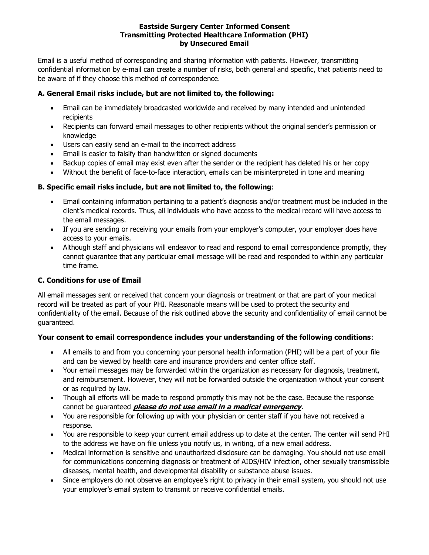#### **Eastside Surgery Center Informed Consent Transmitting Protected Healthcare Information (PHI) by Unsecured Email**

Email is a useful method of corresponding and sharing information with patients. However, transmitting confidential information by e-mail can create a number of risks, both general and specific, that patients need to be aware of if they choose this method of correspondence.

# **A. General Email risks include, but are not limited to, the following:**

- Email can be immediately broadcasted worldwide and received by many intended and unintended recipients
- Recipients can forward email messages to other recipients without the original sender's permission or knowledge
- Users can easily send an e-mail to the incorrect address
- Email is easier to falsify than handwritten or signed documents
- Backup copies of email may exist even after the sender or the recipient has deleted his or her copy
- Without the benefit of face-to-face interaction, emails can be misinterpreted in tone and meaning

### **B. Specific email risks include, but are not limited to, the following**:

- Email containing information pertaining to a patient's diagnosis and/or treatment must be included in the client's medical records. Thus, all individuals who have access to the medical record will have access to the email messages.
- If you are sending or receiving your emails from your employer's computer, your employer does have access to your emails.
- Although staff and physicians will endeavor to read and respond to email correspondence promptly, they cannot guarantee that any particular email message will be read and responded to within any particular time frame.

### **C. Conditions for use of Email**

All email messages sent or received that concern your diagnosis or treatment or that are part of your medical record will be treated as part of your PHI. Reasonable means will be used to protect the security and confidentiality of the email. Because of the risk outlined above the security and confidentiality of email cannot be guaranteed.

# **Your consent to email correspondence includes your understanding of the following conditions**:

- All emails to and from you concerning your personal health information (PHI) will be a part of your file and can be viewed by health care and insurance providers and center office staff.
- Your email messages may be forwarded within the organization as necessary for diagnosis, treatment, and reimbursement. However, they will not be forwarded outside the organization without your consent or as required by law.
- Though all efforts will be made to respond promptly this may not be the case. Because the response cannot be guaranteed **please do not use email in a medical emergency**.
- You are responsible for following up with your physician or center staff if you have not received a response.
- You are responsible to keep your current email address up to date at the center. The center will send PHI to the address we have on file unless you notify us, in writing, of a new email address.
- Medical information is sensitive and unauthorized disclosure can be damaging. You should not use email for communications concerning diagnosis or treatment of AIDS/HIV infection, other sexually transmissible diseases, mental health, and developmental disability or substance abuse issues.
- Since employers do not observe an employee's right to privacy in their email system, you should not use your employer's email system to transmit or receive confidential emails.